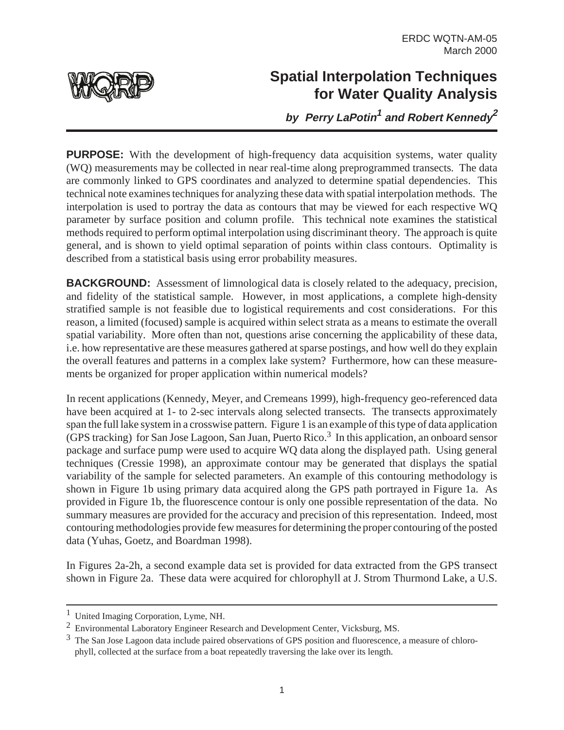

## **Spatial Interpolation Techniques for Water Quality Analysis**

**by Perry LaPotin<sup>1</sup> and Robert Kennedy<sup>2</sup>**

**PURPOSE:** With the development of high-frequency data acquisition systems, water quality (WQ) measurements may be collected in near real-time along preprogrammed transects. The data are commonly linked to GPS coordinates and analyzed to determine spatial dependencies. This technical note examines techniques for analyzing these data with spatial interpolation methods. The interpolation is used to portray the data as contours that may be viewed for each respective WQ parameter by surface position and column profile. This technical note examines the statistical methods required to perform optimal interpolation using discriminant theory. The approach is quite general, and is shown to yield optimal separation of points within class contours. Optimality is described from a statistical basis using error probability measures.

**BACKGROUND:** Assessment of limnological data is closely related to the adequacy, precision, and fidelity of the statistical sample. However, in most applications, a complete high-density stratified sample is not feasible due to logistical requirements and cost considerations. For this reason, a limited (focused) sample is acquired within select strata as a means to estimate the overall spatial variability. More often than not, questions arise concerning the applicability of these data, i.e. how representative are these measures gathered at sparse postings, and how well do they explain the overall features and patterns in a complex lake system? Furthermore, how can these measurements be organized for proper application within numerical models?

In recent applications (Kennedy, Meyer, and Cremeans 1999), high-frequency geo-referenced data have been acquired at 1- to 2-sec intervals along selected transects. The transects approximately span the full lake system in a crosswise pattern. Figure 1 is an example of this type of data application (GPS tracking) for San Jose Lagoon, San Juan, Puerto Rico.<sup>3</sup> In this application, an onboard sensor package and surface pump were used to acquire WQ data along the displayed path. Using general techniques (Cressie 1998), an approximate contour may be generated that displays the spatial variability of the sample for selected parameters. An example of this contouring methodology is shown in Figure 1b using primary data acquired along the GPS path portrayed in Figure 1a. As provided in Figure 1b, the fluorescence contour is only one possible representation of the data. No summary measures are provided for the accuracy and precision of this representation. Indeed, most contouring methodologies provide few measures for determining the proper contouring of the posted data (Yuhas, Goetz, and Boardman 1998).

In Figures 2a-2h, a second example data set is provided for data extracted from the GPS transect shown in Figure 2a. These data were acquired for chlorophyll at J. Strom Thurmond Lake, a U.S.

<sup>1</sup> United Imaging Corporation, Lyme, NH.

<sup>2</sup> Environmental Laboratory Engineer Research and Development Center, Vicksburg, MS.

<sup>&</sup>lt;sup>3</sup> The San Jose Lagoon data include paired observations of GPS position and fluorescence, a measure of chlorophyll, collected at the surface from a boat repeatedly traversing the lake over its length.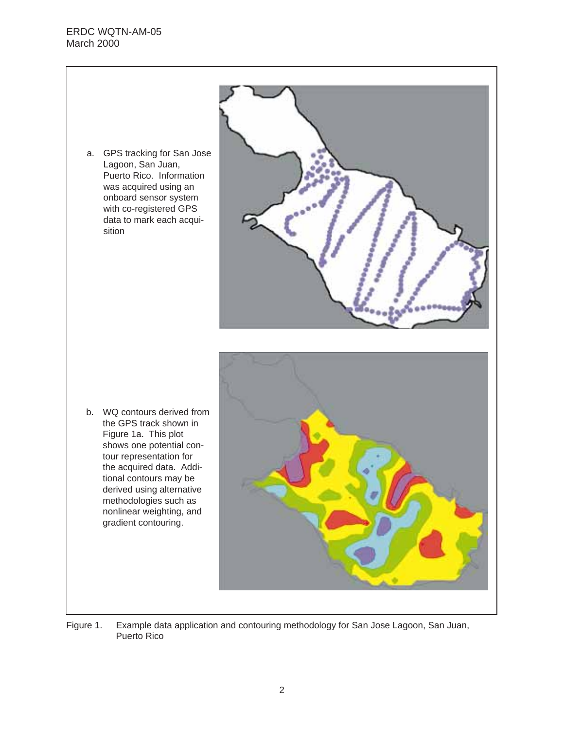a. GPS tracking for San Jose Lagoon, San Juan, Puerto Rico. Information was acquired using an onboard sensor system with co-registered GPS data to mark each acquisition



b. WQ contours derived from the GPS track shown in Figure 1a. This plot shows one potential contour representation for the acquired data. Additional contours may be derived using alternative methodologies such as nonlinear weighting, and gradient contouring.



Figure 1. Example data application and contouring methodology for San Jose Lagoon, San Juan, Puerto Rico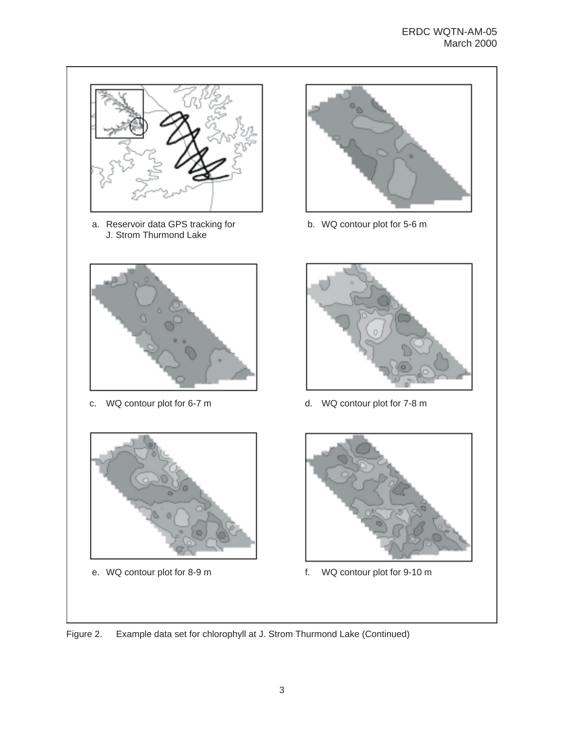

a. Reservoir data GPS tracking for J. Strom Thurmond Lake







b. WQ contour plot for 5-6 m



c. WQ contour plot for 6-7 m d. WQ contour plot for 7-8 m



e. WQ contour plot for 8-9 m f. WQ contour plot for 9-10 m

Figure 2. Example data set for chlorophyll at J. Strom Thurmond Lake (Continued)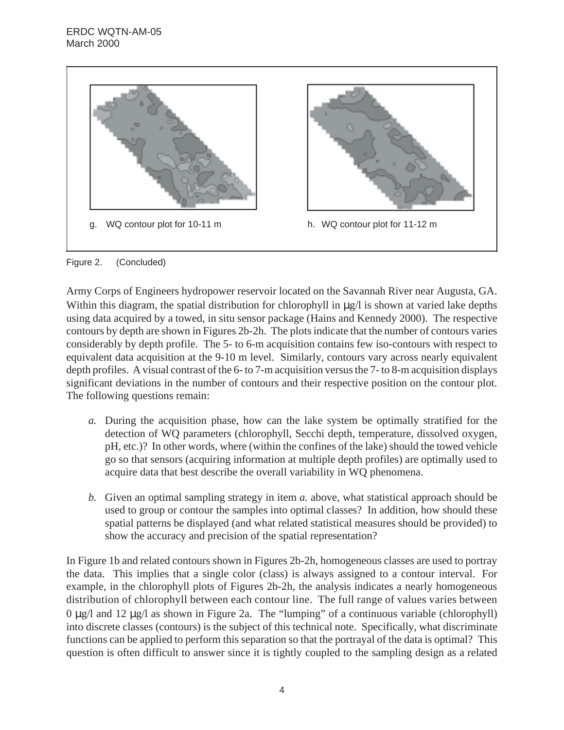

Figure 2. (Concluded)

Army Corps of Engineers hydropower reservoir located on the Savannah River near Augusta, GA. Within this diagram, the spatial distribution for chlorophyll in  $\mu$ g/l is shown at varied lake depths using data acquired by a towed, in situ sensor package (Hains and Kennedy 2000). The respective contours by depth are shown in Figures 2b-2h. The plots indicate that the number of contours varies considerably by depth profile. The 5- to 6-m acquisition contains few iso-contours with respect to equivalent data acquisition at the 9-10 m level. Similarly, contours vary across nearly equivalent depth profiles. A visual contrast of the 6- to 7-m acquisition versus the 7- to 8-m acquisition displays significant deviations in the number of contours and their respective position on the contour plot. The following questions remain:

- *a.* During the acquisition phase, how can the lake system be optimally stratified for the detection of WQ parameters (chlorophyll, Secchi depth, temperature, dissolved oxygen, pH, etc.)? In other words, where (within the confines of the lake) should the towed vehicle go so that sensors (acquiring information at multiple depth profiles) are optimally used to acquire data that best describe the overall variability in WQ phenomena.
- *b.* Given an optimal sampling strategy in item *a.* above, what statistical approach should be used to group or contour the samples into optimal classes? In addition, how should these spatial patterns be displayed (and what related statistical measures should be provided) to show the accuracy and precision of the spatial representation?

In Figure 1b and related contours shown in Figures 2b-2h, homogeneous classes are used to portray the data. This implies that a single color (class) is always assigned to a contour interval. For example, in the chlorophyll plots of Figures 2b-2h, the analysis indicates a nearly homogeneous distribution of chlorophyll between each contour line. The full range of values varies between  $0 \mu$ g/l and 12  $\mu$ g/l as shown in Figure 2a. The "lumping" of a continuous variable (chlorophyll) into discrete classes (contours) is the subject of this technical note. Specifically, what discriminate functions can be applied to perform this separation so that the portrayal of the data is optimal? This question is often difficult to answer since it is tightly coupled to the sampling design as a related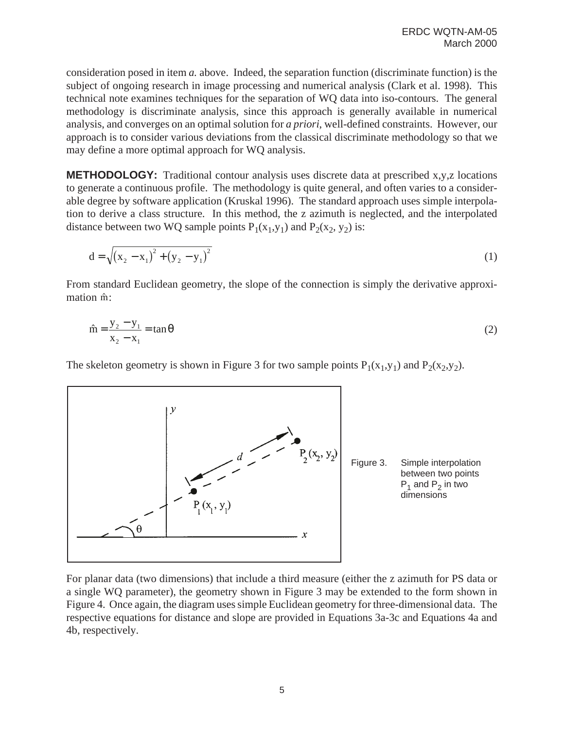consideration posed in item *a.* above. Indeed, the separation function (discriminate function) is the subject of ongoing research in image processing and numerical analysis (Clark et al. 1998). This technical note examines techniques for the separation of WQ data into iso-contours. The general methodology is discriminate analysis, since this approach is generally available in numerical analysis, and converges on an optimal solution for *a priori*, well-defined constraints. However, our approach is to consider various deviations from the classical discriminate methodology so that we may define a more optimal approach for WQ analysis.

**METHODOLOGY:** Traditional contour analysis uses discrete data at prescribed x,y,z locations to generate a continuous profile. The methodology is quite general, and often varies to a considerable degree by software application (Kruskal 1996). The standard approach uses simple interpolation to derive a class structure. In this method, the z azimuth is neglected, and the interpolated distance between two WQ sample points  $P_1(x_1,y_1)$  and  $P_2(x_2, y_2)$  is:

$$
d = \sqrt{(x_2 - x_1)^2 + (y_2 - y_1)^2}
$$
 (1)

From standard Euclidean geometry, the slope of the connection is simply the derivative approximation m̂:

$$
\hat{m} = \frac{y_2 - y_1}{x_2 - x_1} = \tan \theta
$$
\n(2)

The skeleton geometry is shown in Figure 3 for two sample points  $P_1(x_1,y_1)$  and  $P_2(x_2,y_2)$ .



For planar data (two dimensions) that include a third measure (either the z azimuth for PS data or a single WQ parameter), the geometry shown in Figure 3 may be extended to the form shown in Figure 4. Once again, the diagram uses simple Euclidean geometry for three-dimensional data. The respective equations for distance and slope are provided in Equations 3a-3c and Equations 4a and 4b, respectively.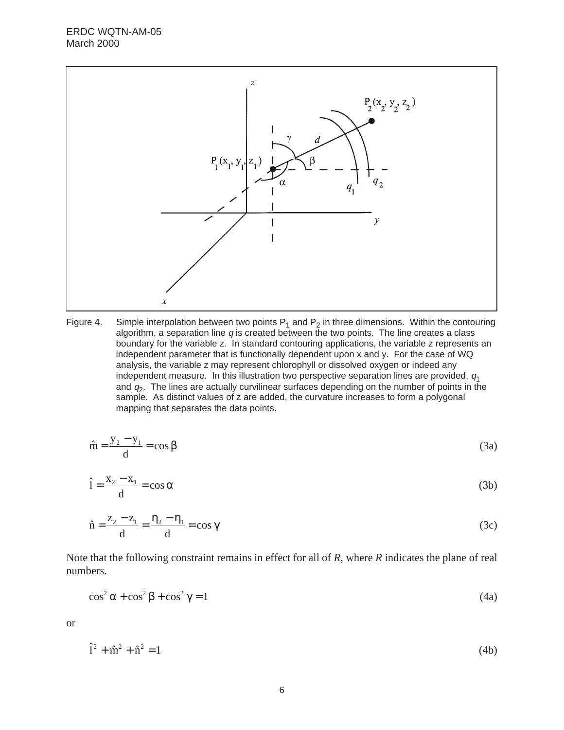

Figure 4. Simple interpolation between two points  $P_1$  and  $P_2$  in three dimensions. Within the contouring algorithm, a separation line  $q$  is created between the two points. The line creates a class boundary for the variable z. In standard contouring applications, the variable z represents an independent parameter that is functionally dependent upon x and y. For the case of WQ analysis, the variable z may represent chlorophyll or dissolved oxygen or indeed any independent measure. In this illustration two perspective separation lines are provided,  $q_1$ and  $q_2$ . The lines are actually curvilinear surfaces depending on the number of points in the sample. As distinct values of z are added, the curvature increases to form a polygonal mapping that separates the data points.

$$
\hat{\mathbf{m}} = \frac{\mathbf{y}_2 - \mathbf{y}_1}{d} = \cos \beta \tag{3a}
$$

$$
\hat{1} = \frac{x_2 - x_1}{d} = \cos \alpha \tag{3b}
$$

$$
\hat{\mathbf{n}} = \frac{\mathbf{z}_2 - \mathbf{z}_1}{d} = \frac{\mathbf{\eta}_2 - \mathbf{\eta}_1}{d} = \cos \gamma \tag{3c}
$$

Note that the following constraint remains in effect for all of *R*, where *R* indicates the plane of real numbers.

$$
\cos^2 \alpha + \cos^2 \beta + \cos^2 \gamma = 1 \tag{4a}
$$

or

$$
\hat{1}^2 + \hat{m}^2 + \hat{n}^2 = 1\tag{4b}
$$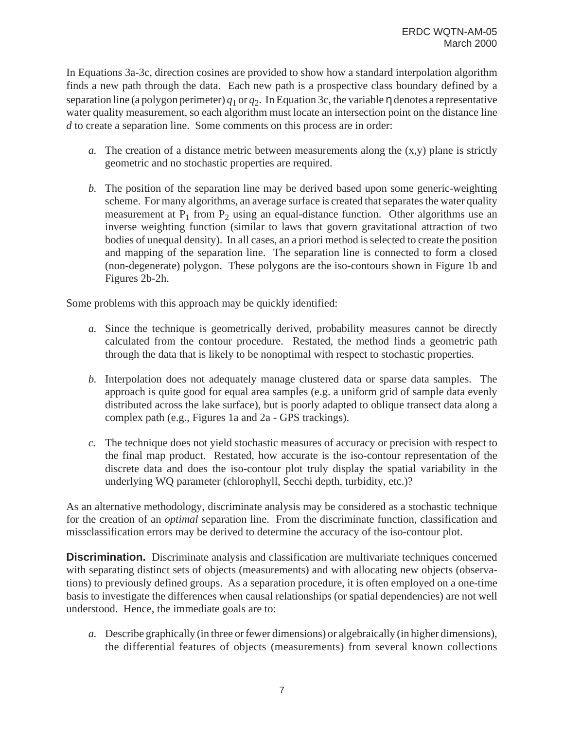In Equations 3a-3c, direction cosines are provided to show how a standard interpolation algorithm finds a new path through the data. Each new path is a prospective class boundary defined by a separation line (a polygon perimeter)  $q_1$  or  $q_2$ . In Equation 3c, the variable  $\eta$  denotes a representative water quality measurement, so each algorithm must locate an intersection point on the distance line *d* to create a separation line. Some comments on this process are in order:

- *a.* The creation of a distance metric between measurements along the  $(x,y)$  plane is strictly geometric and no stochastic properties are required.
- *b.* The position of the separation line may be derived based upon some generic-weighting scheme. For many algorithms, an average surface is created that separates the water quality measurement at  $P_1$  from  $P_2$  using an equal-distance function. Other algorithms use an inverse weighting function (similar to laws that govern gravitational attraction of two bodies of unequal density). In all cases, an a priori method is selected to create the position and mapping of the separation line. The separation line is connected to form a closed (non-degenerate) polygon. These polygons are the iso-contours shown in Figure 1b and Figures 2b-2h.

Some problems with this approach may be quickly identified:

- *a.* Since the technique is geometrically derived, probability measures cannot be directly calculated from the contour procedure. Restated, the method finds a geometric path through the data that is likely to be nonoptimal with respect to stochastic properties.
- *b.* Interpolation does not adequately manage clustered data or sparse data samples. The approach is quite good for equal area samples (e.g. a uniform grid of sample data evenly distributed across the lake surface), but is poorly adapted to oblique transect data along a complex path (e.g., Figures 1a and 2a - GPS trackings).
- *c.* The technique does not yield stochastic measures of accuracy or precision with respect to the final map product. Restated, how accurate is the iso-contour representation of the discrete data and does the iso-contour plot truly display the spatial variability in the underlying WQ parameter (chlorophyll, Secchi depth, turbidity, etc.)?

As an alternative methodology, discriminate analysis may be considered as a stochastic technique for the creation of an *optimal* separation line. From the discriminate function, classification and missclassification errors may be derived to determine the accuracy of the iso-contour plot.

**Discrimination.** Discriminate analysis and classification are multivariate techniques concerned with separating distinct sets of objects (measurements) and with allocating new objects (observations) to previously defined groups. As a separation procedure, it is often employed on a one-time basis to investigate the differences when causal relationships (or spatial dependencies) are not well understood. Hence, the immediate goals are to:

*a.* Describe graphically (in three or fewer dimensions) or algebraically (in higher dimensions), the differential features of objects (measurements) from several known collections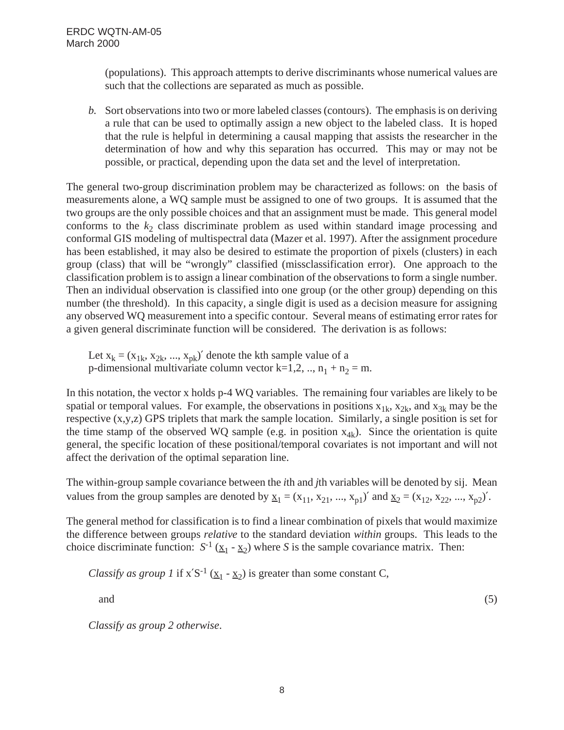(populations). This approach attempts to derive discriminants whose numerical values are such that the collections are separated as much as possible.

*b.* Sort observations into two or more labeled classes (contours). The emphasis is on deriving a rule that can be used to optimally assign a new object to the labeled class. It is hoped that the rule is helpful in determining a causal mapping that assists the researcher in the determination of how and why this separation has occurred. This may or may not be possible, or practical, depending upon the data set and the level of interpretation.

The general two-group discrimination problem may be characterized as follows: on the basis of measurements alone, a WQ sample must be assigned to one of two groups. It is assumed that the two groups are the only possible choices and that an assignment must be made. This general model conforms to the  $k<sub>2</sub>$  class discriminate problem as used within standard image processing and conformal GIS modeling of multispectral data (Mazer et al. 1997). After the assignment procedure has been established, it may also be desired to estimate the proportion of pixels (clusters) in each group (class) that will be "wrongly" classified (missclassification error). One approach to the classification problem is to assign a linear combination of the observations to form a single number. Then an individual observation is classified into one group (or the other group) depending on this number (the threshold). In this capacity, a single digit is used as a decision measure for assigning any observed WQ measurement into a specific contour. Several means of estimating error rates for a given general discriminate function will be considered. The derivation is as follows:

Let  $x_k = (x_{1k}, x_{2k}, ..., x_{pk})'$  denote the kth sample value of a p-dimensional multivariate column vector  $k=1,2, ..., n_1 + n_2 = m$ .

In this notation, the vector x holds p-4 WQ variables. The remaining four variables are likely to be spatial or temporal values. For example, the observations in positions  $x_{1k}$ ,  $x_{2k}$ , and  $x_{3k}$  may be the respective (x,y,z) GPS triplets that mark the sample location. Similarly, a single position is set for the time stamp of the observed WQ sample (e.g. in position  $x_{4k}$ ). Since the orientation is quite general, the specific location of these positional/temporal covariates is not important and will not affect the derivation of the optimal separation line.

The within-group sample covariance between the *i*th and *j*th variables will be denoted by sij. Mean values from the group samples are denoted by  $\underline{x}_1 = (x_{11}, x_{21}, ..., x_{n1})'$  and  $\underline{x}_2 = (x_{12}, x_{22}, ..., x_{n2})'$ .

The general method for classification is to find a linear combination of pixels that would maximize the difference between groups *relative* to the standard deviation *within* groups. This leads to the choice discriminate function:  $S^{-1}$  ( $\underline{x}_1 - \underline{x}_2$ ) where *S* is the sample covariance matrix. Then:

*Classify as group 1* if  $x'S^{-1}$  ( $x_1 - x_2$ ) is greater than some constant C,

and  $(5)$ 

*Classify as group 2 otherwise*.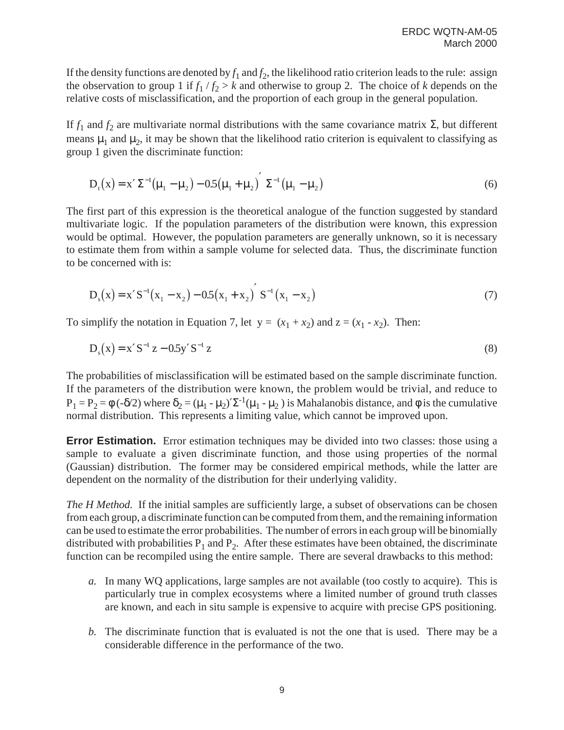If the density functions are denoted by  $f_1$  and  $f_2$ , the likelihood ratio criterion leads to the rule: assign the observation to group 1 if  $f_1/f_2 > k$  and otherwise to group 2. The choice of *k* depends on the relative costs of misclassification, and the proportion of each group in the general population.

If  $f_1$  and  $f_2$  are multivariate normal distributions with the same covariance matrix Σ, but different means  $\mu_1$  and  $\mu_2$ , it may be shown that the likelihood ratio criterion is equivalent to classifying as group 1 given the discriminate function:

$$
D_{t}(x) = x' \Sigma^{-1} (\mu_{1} - \mu_{2}) - 0.5(\mu_{1} + \mu_{2})' \Sigma^{-1} (\mu_{1} - \mu_{2})
$$
\nThe first part of this expression is the theoretical analogue of the function suggested by standard

multivariate logic. If the population parameters of the distribution were known, this expression would be optimal. However, the population parameters are generally unknown, so it is necessary to estimate them from within a sample volume for selected data. Thus, the discriminate function to be concerned with is:

$$
D_s(x) = x' S^{-1}(x_1 - x_2) - 0.5(x_1 + x_2)' S^{-1}(x_1 - x_2)
$$
\n(7)

\nmultiplication in Equation 7, let  $y = (x_1 + y_1)$  and  $z = (x_1 - x_2)$ . Then

To simplify the notation in Equation 7, let  $y = (x_1 + x_2)$  and  $z = (x_1 - x_2)$ . Then:

$$
D_s(x) = x'S^{-1} z - 0.5y'S^{-1} z
$$
\nThe probabilities of misclassification will be estimated based on the sample discriminate function.

If the parameters of the distribution were known, the problem would be trivial, and reduce to  $P_1 = P_2 = \phi(-\delta/2)$  where  $\delta_2 = (\mu_1 - \mu_2)' \Sigma^{-1} (\mu_1 - \mu_2)$  is Mahalanobis distance, and  $\phi$  is the cumulative normal distribution. This represents a limiting value, which cannot be improved upon.

**Error Estimation.** Error estimation techniques may be divided into two classes: those using a sample to evaluate a given discriminate function, and those using properties of the normal (Gaussian) distribution. The former may be considered empirical methods, while the latter are dependent on the normality of the distribution for their underlying validity.

*The H Method.* If the initial samples are sufficiently large, a subset of observations can be chosen from each group, a discriminate function can be computed from them, and the remaining information can be used to estimate the error probabilities. The number of errors in each group will be binomially distributed with probabilities  $P_1$  and  $P_2$ . After these estimates have been obtained, the discriminate function can be recompiled using the entire sample. There are several drawbacks to this method:

- *a.* In many WQ applications, large samples are not available (too costly to acquire). This is particularly true in complex ecosystems where a limited number of ground truth classes are known, and each in situ sample is expensive to acquire with precise GPS positioning.
- *b.* The discriminate function that is evaluated is not the one that is used. There may be a considerable difference in the performance of the two.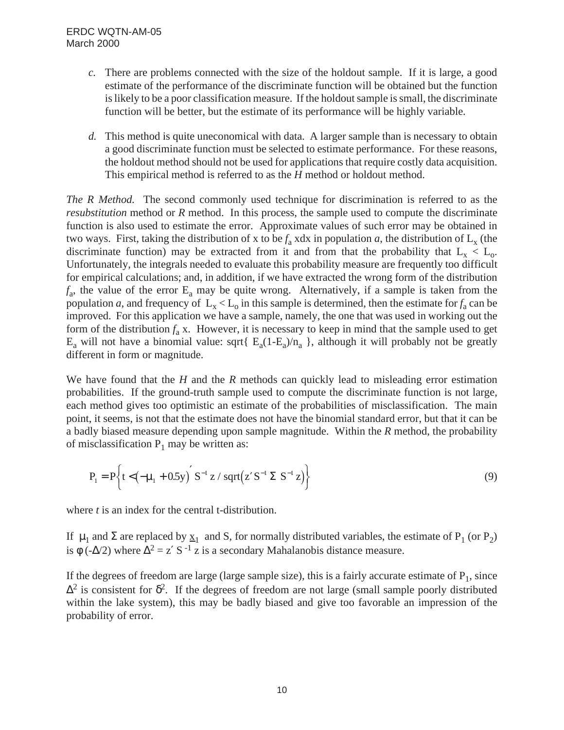## ERDC WQTN-AM-05 March 2000

- *c.* There are problems connected with the size of the holdout sample. If it is large, a good estimate of the performance of the discriminate function will be obtained but the function is likely to be a poor classification measure. If the holdout sample is small, the discriminate function will be better, but the estimate of its performance will be highly variable.
- *d.* This method is quite uneconomical with data. A larger sample than is necessary to obtain a good discriminate function must be selected to estimate performance. For these reasons, the holdout method should not be used for applications that require costly data acquisition. This empirical method is referred to as the *H* method or holdout method.

*The R Method.* The second commonly used technique for discrimination is referred to as the *resubstitution* method or *R* method. In this process, the sample used to compute the discriminate function is also used to estimate the error. Approximate values of such error may be obtained in two ways. First, taking the distribution of x to be  $f_a$  xdx in population *a*, the distribution of  $L_x$  (the discriminate function) may be extracted from it and from that the probability that  $L_x < L_0$ . Unfortunately, the integrals needed to evaluate this probability measure are frequently too difficult for empirical calculations; and, in addition, if we have extracted the wrong form of the distribution  $f_a$ , the value of the error  $E_a$  may be quite wrong. Alternatively, if a sample is taken from the population *a*, and frequency of  $L_x < L_0$  in this sample is determined, then the estimate for  $f_a$  can be improved. For this application we have a sample, namely, the one that was used in working out the form of the distribution  $f_a$  x. However, it is necessary to keep in mind that the sample used to get  $E_a$  will not have a binomial value: sqrt{  $E_a(1-E_a)/n_a$  }, although it will probably not be greatly different in form or magnitude.

We have found that the *H* and the *R* methods can quickly lead to misleading error estimation probabilities. If the ground-truth sample used to compute the discriminate function is not large, each method gives too optimistic an estimate of the probabilities of misclassification. The main point, it seems, is not that the estimate does not have the binomial standard error, but that it can be a badly biased measure depending upon sample magnitude. Within the *R* method, the probability of misclassification  $P_1$  may be written as:

$$
P_1 = P\left\{t < \left(-\mu_1 + 0.5y\right)' S^{-1} z / \sqrt{\sqrt{z'}} S^{-1} \Sigma S^{-1} z\right\}
$$
\n(9)

\nwhere *t* is an index for the central t-distribution.

If  $\mu_1$  and  $\Sigma$  are replaced by  $\underline{x}_1$  and S, for normally distributed variables, the estimate of P<sub>1</sub> (or P<sub>2</sub>) is  $\phi$  (- $\Delta/2$ ) where  $\Delta^2 = z'$  S<sup>-1</sup> z is a secondary Mahalanobis distance measure.

If the degrees of freedom are large (large sample size), this is a fairly accurate estimate of  $P_1$ , since  $\Delta^2$  is consistent for  $\delta^2$ . If the degrees of freedom are not large (small sample poorly distributed within the lake system), this may be badly biased and give too favorable an impression of the probability of error.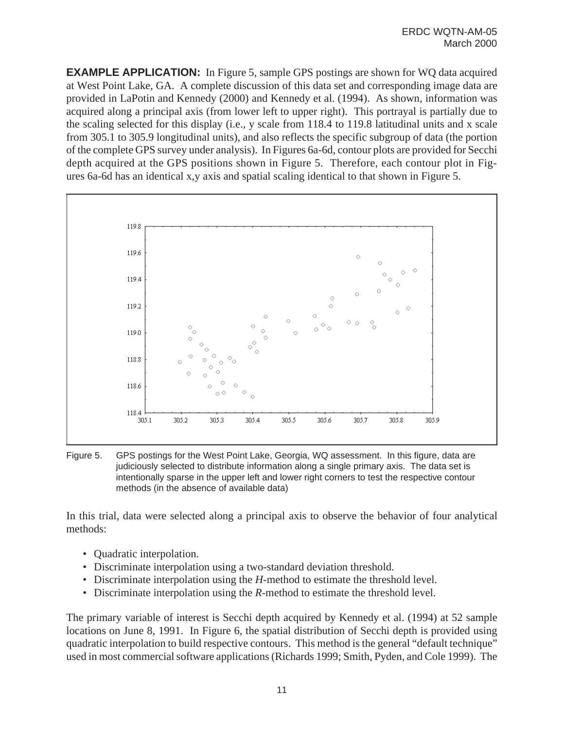**EXAMPLE APPLICATION:** In Figure 5, sample GPS postings are shown for WO data acquired at West Point Lake, GA. A complete discussion of this data set and corresponding image data are provided in LaPotin and Kennedy (2000) and Kennedy et al. (1994). As shown, information was acquired along a principal axis (from lower left to upper right). This portrayal is partially due to the scaling selected for this display (i.e., y scale from 118.4 to 119.8 latitudinal units and x scale from 305.1 to 305.9 longitudinal units), and also reflects the specific subgroup of data (the portion of the complete GPS survey under analysis). In Figures 6a-6d, contour plots are provided for Secchi depth acquired at the GPS positions shown in Figure 5. Therefore, each contour plot in Figures 6a-6d has an identical x,y axis and spatial scaling identical to that shown in Figure 5.



Figure 5. GPS postings for the West Point Lake, Georgia, WQ assessment. In this figure, data are judiciously selected to distribute information along a single primary axis. The data set is intentionally sparse in the upper left and lower right corners to test the respective contour methods (in the absence of available data)

In this trial, data were selected along a principal axis to observe the behavior of four analytical methods:

- Quadratic interpolation.
- Discriminate interpolation using a two-standard deviation threshold.
- Discriminate interpolation using the *H*-method to estimate the threshold level.
- Discriminate interpolation using the *R*-method to estimate the threshold level.

The primary variable of interest is Secchi depth acquired by Kennedy et al. (1994) at 52 sample locations on June 8, 1991. In Figure 6, the spatial distribution of Secchi depth is provided using quadratic interpolation to build respective contours. This method is the general "default technique" used in most commercial software applications (Richards 1999; Smith, Pyden, and Cole 1999). The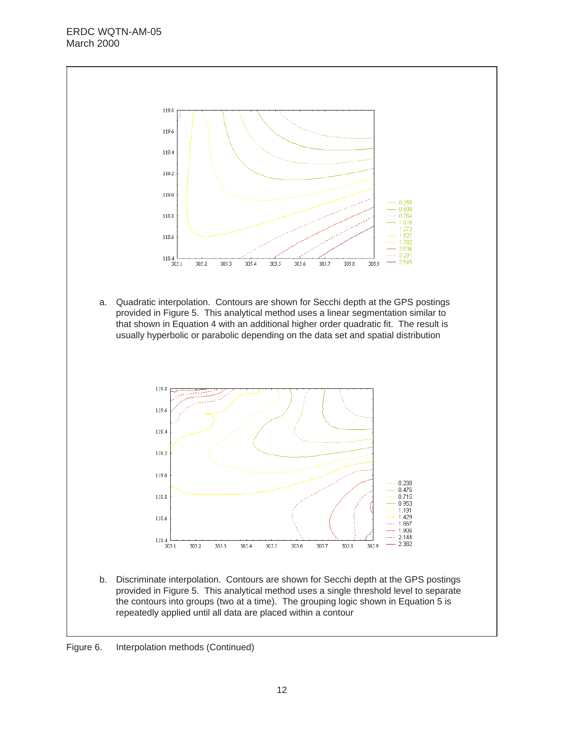## ERDC WQTN-AM-05 March 2000



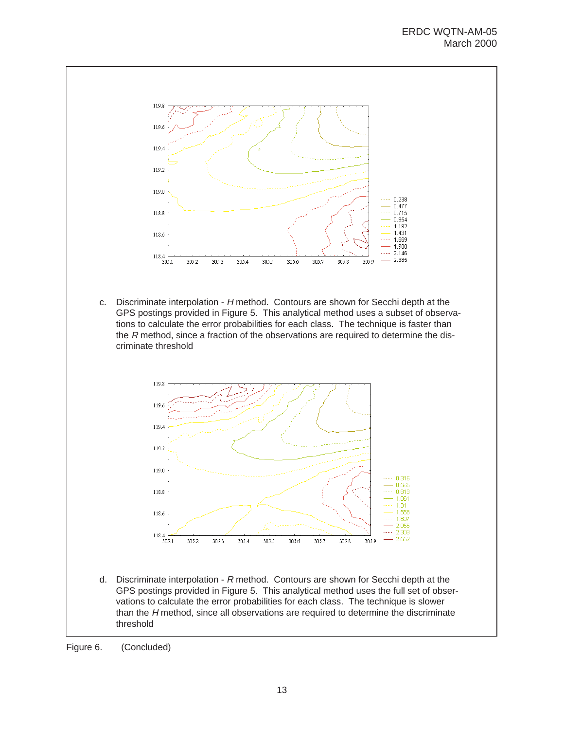

c. Discriminate interpolation - H method. Contours are shown for Secchi depth at the GPS postings provided in Figure 5. This analytical method uses a subset of observations to calculate the error probabilities for each class. The technique is faster than the  $R$  method, since a fraction of the observations are required to determine the discriminate threshold



d. Discriminate interpolation - R method. Contours are shown for Secchi depth at the GPS postings provided in Figure 5. This analytical method uses the full set of observations to calculate the error probabilities for each class. The technique is slower than the H method, since all observations are required to determine the discriminate threshold

Figure 6. (Concluded)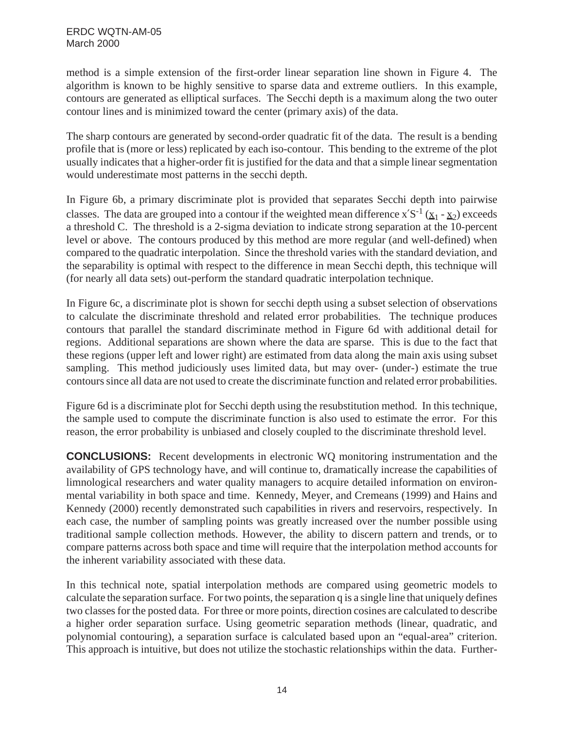method is a simple extension of the first-order linear separation line shown in Figure 4. The algorithm is known to be highly sensitive to sparse data and extreme outliers. In this example, contours are generated as elliptical surfaces. The Secchi depth is a maximum along the two outer contour lines and is minimized toward the center (primary axis) of the data.

The sharp contours are generated by second-order quadratic fit of the data. The result is a bending profile that is (more or less) replicated by each iso-contour. This bending to the extreme of the plot usually indicates that a higher-order fit is justified for the data and that a simple linear segmentation would underestimate most patterns in the secchi depth.

In Figure 6b, a primary discriminate plot is provided that separates Secchi depth into pairwise classes. The data are grouped into a contour if the weighted mean difference x'S<sup>-1</sup> ( $\underline{x}_1$  -  $\underline{x}_2$ ) exceeds a threshold C. The threshold is a 2-sigma deviation to indicate strong separation at the 10-percent level or above. The contours produced by this method are more regular (and well-defined) when compared to the quadratic interpolation. Since the threshold varies with the standard deviation, and the separability is optimal with respect to the difference in mean Secchi depth, this technique will (for nearly all data sets) out-perform the standard quadratic interpolation technique.

In Figure 6c, a discriminate plot is shown for secchi depth using a subset selection of observations to calculate the discriminate threshold and related error probabilities. The technique produces contours that parallel the standard discriminate method in Figure 6d with additional detail for regions. Additional separations are shown where the data are sparse. This is due to the fact that these regions (upper left and lower right) are estimated from data along the main axis using subset sampling. This method judiciously uses limited data, but may over- (under-) estimate the true contours since all data are not used to create the discriminate function and related error probabilities.

Figure 6d is a discriminate plot for Secchi depth using the resubstitution method. In this technique, the sample used to compute the discriminate function is also used to estimate the error. For this reason, the error probability is unbiased and closely coupled to the discriminate threshold level.

**CONCLUSIONS:** Recent developments in electronic WQ monitoring instrumentation and the availability of GPS technology have, and will continue to, dramatically increase the capabilities of limnological researchers and water quality managers to acquire detailed information on environmental variability in both space and time. Kennedy, Meyer, and Cremeans (1999) and Hains and Kennedy (2000) recently demonstrated such capabilities in rivers and reservoirs, respectively. In each case, the number of sampling points was greatly increased over the number possible using traditional sample collection methods. However, the ability to discern pattern and trends, or to compare patterns across both space and time will require that the interpolation method accounts for the inherent variability associated with these data.

In this technical note, spatial interpolation methods are compared using geometric models to calculate the separation surface. For two points, the separation q is a single line that uniquely defines two classes for the posted data. For three or more points, direction cosines are calculated to describe a higher order separation surface. Using geometric separation methods (linear, quadratic, and polynomial contouring), a separation surface is calculated based upon an "equal-area" criterion. This approach is intuitive, but does not utilize the stochastic relationships within the data. Further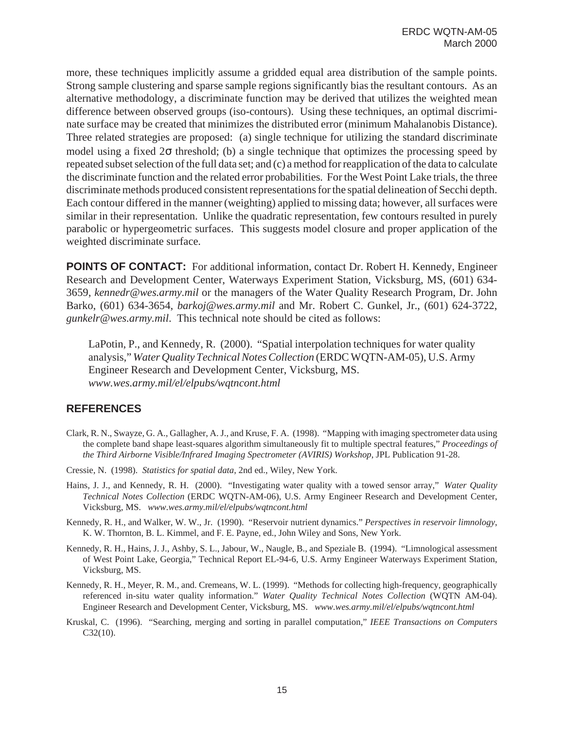more, these techniques implicitly assume a gridded equal area distribution of the sample points. Strong sample clustering and sparse sample regions significantly bias the resultant contours. As an alternative methodology, a discriminate function may be derived that utilizes the weighted mean difference between observed groups (iso-contours). Using these techniques, an optimal discriminate surface may be created that minimizes the distributed error (minimum Mahalanobis Distance). Three related strategies are proposed: (a) single technique for utilizing the standard discriminate model using a fixed  $2\sigma$  threshold; (b) a single technique that optimizes the processing speed by repeated subset selection of the full data set; and (c) a method for reapplication of the data to calculate the discriminate function and the related error probabilities. For the West Point Lake trials, the three discriminate methods produced consistent representations for the spatial delineation of Secchi depth. Each contour differed in the manner (weighting) applied to missing data; however, all surfaces were similar in their representation. Unlike the quadratic representation, few contours resulted in purely parabolic or hypergeometric surfaces. This suggests model closure and proper application of the weighted discriminate surface.

**POINTS OF CONTACT:** For additional information, contact Dr. Robert H. Kennedy, Engineer Research and Development Center, Waterways Experiment Station, Vicksburg, MS, (601) 634- 3659, *kennedr@wes.army.mil* or the managers of the Water Quality Research Program, Dr. John Barko, (601) 634-3654, *barkoj@wes.army.mil* and Mr. Robert C. Gunkel, Jr., (601) 624-3722, *gunkelr@wes.army.mil*. This technical note should be cited as follows:

LaPotin, P., and Kennedy, R. (2000). "Spatial interpolation techniques for water quality analysis," *Water Quality Technical Notes Collection* (ERDC WQTN-AM-05), U.S. Army Engineer Research and Development Center, Vicksburg, MS. *www.wes.army.mil/el/elpubs/wqtncont.html*

## **REFERENCES**

- Clark, R. N., Swayze, G. A., Gallagher, A. J., and Kruse, F. A. (1998). "Mapping with imaging spectrometer data using the complete band shape least-squares algorithm simultaneously fit to multiple spectral features," *Proceedings of the Third Airborne Visible/Infrared Imaging Spectrometer (AVIRIS) Workshop*, JPL Publication 91-28.
- Cressie, N. (1998). *Statistics for spatial data*, 2nd ed., Wiley, New York.
- Hains, J. J., and Kennedy, R. H. (2000). "Investigating water quality with a towed sensor array," *Water Quality Technical Notes Collection* (ERDC WQTN-AM-06), U.S. Army Engineer Research and Development Center, Vicksburg, MS. *www.wes.army.mil/el/elpubs/wqtncont.html*
- Kennedy, R. H., and Walker, W. W., Jr. (1990). "Reservoir nutrient dynamics." *Perspectives in reservoir limnology*, K. W. Thornton, B. L. Kimmel, and F. E. Payne, ed., John Wiley and Sons, New York.
- Kennedy, R. H., Hains, J. J., Ashby, S. L., Jabour, W., Naugle, B., and Speziale B. (1994). "Limnological assessment of West Point Lake, Georgia," Technical Report EL-94-6, U.S. Army Engineer Waterways Experiment Station, Vicksburg, MS.
- Kennedy, R. H., Meyer, R. M., and. Cremeans, W. L. (1999). "Methods for collecting high-frequency, geographically referenced in-situ water quality information." *Water Quality Technical Notes Collection* (WQTN AM-04). Engineer Research and Development Center, Vicksburg, MS. *www.wes.army.mil/el/elpubs/wqtncont.html*
- Kruskal, C. (1996). "Searching, merging and sorting in parallel computation," *IEEE Transactions on Computers* C32(10).